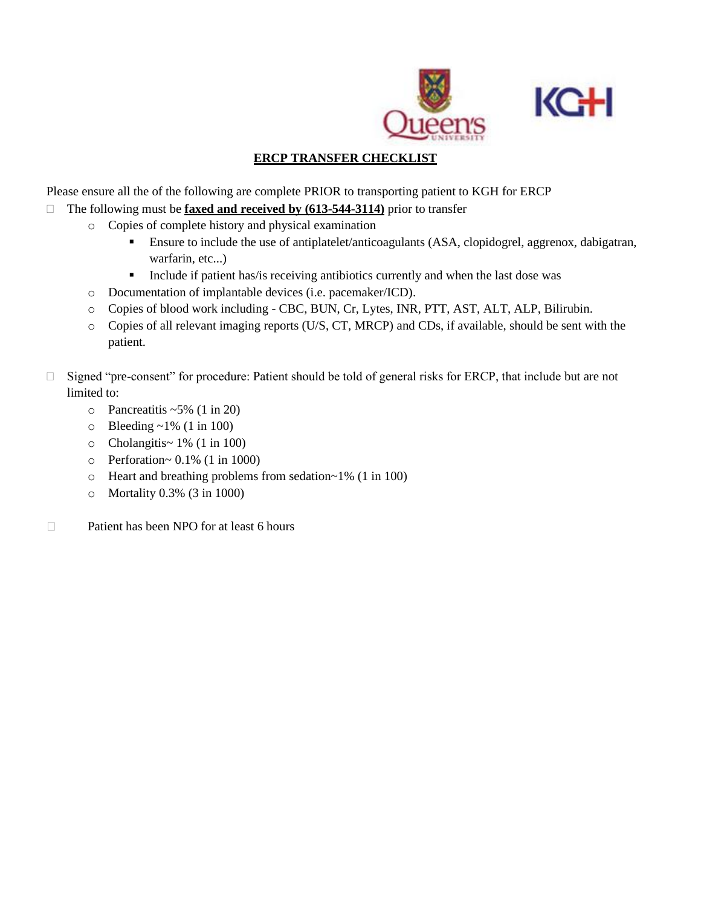



## **ERCP TRANSFER CHECKLIST**

Please ensure all the of the following are complete PRIOR to transporting patient to KGH for ERCP

- The following must be **faxed and received by (613-544-3114)** prior to transfer
	- o Copies of complete history and physical examination
		- Ensure to include the use of antiplatelet/anticoagulants (ASA, clopidogrel, aggrenox, dabigatran, warfarin, etc...)
		- **•** Include if patient has/is receiving antibiotics currently and when the last dose was
	- o Documentation of implantable devices (i.e. pacemaker/ICD).
	- o Copies of blood work including CBC, BUN, Cr, Lytes, INR, PTT, AST, ALT, ALP, Bilirubin.
	- o Copies of all relevant imaging reports (U/S, CT, MRCP) and CDs, if available, should be sent with the patient.
- □ Signed "pre-consent" for procedure: Patient should be told of general risks for ERCP, that include but are not limited to:
	- $\circ$  Pancreatitis ~5% (1 in 20)
	- $\circ$  Bleeding ~1% (1 in 100)
	- o Cholangitis~ 1% (1 in 100)
	- $\circ$  Perforation~ 0.1% (1 in 1000)
	- o Heart and breathing problems from sedation~1% (1 in 100)
	- o Mortality 0.3% (3 in 1000)
- Patient has been NPO for at least 6 hours $\Box$